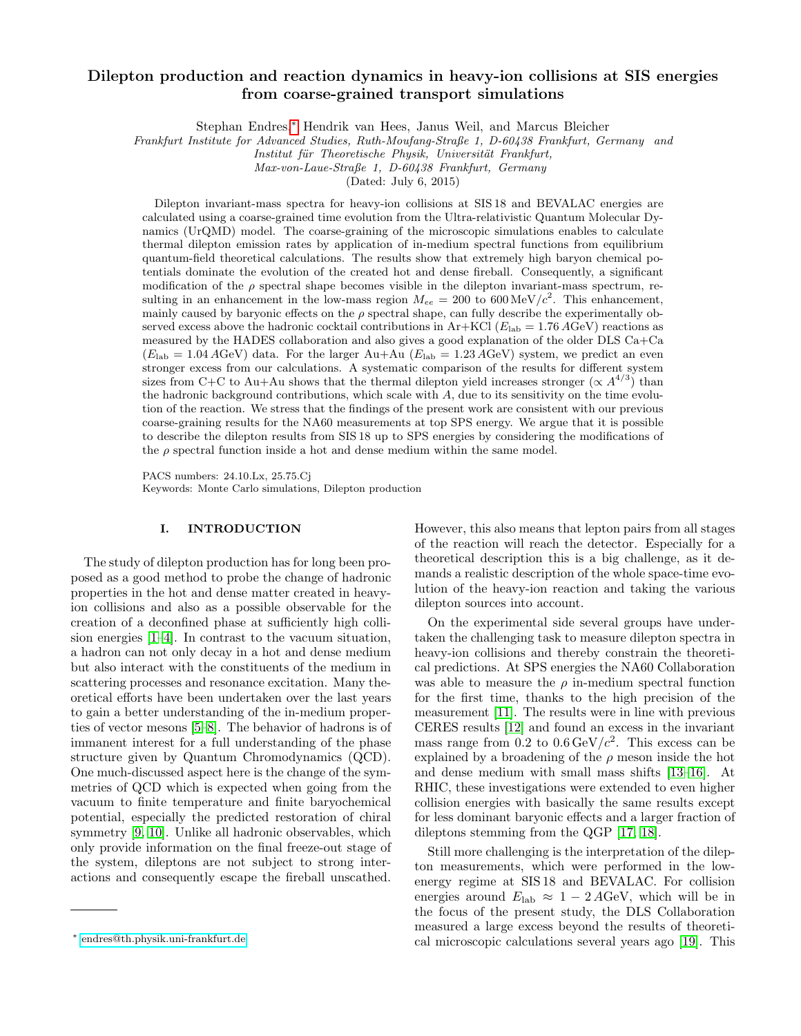# Dilepton production and reaction dynamics in heavy-ion collisions at SIS energies from coarse-grained transport simulations

Stephan Endres,[∗](#page-0-0) Hendrik van Hees, Janus Weil, and Marcus Bleicher

Frankfurt Institute for Advanced Studies, Ruth-Moufang-Straße 1, D-60438 Frankfurt, Germany and

Institut für Theoretische Physik, Universität Frankfurt,

Max-von-Laue-Straße 1, D-60438 Frankfurt, Germany

(Dated: July 6, 2015)

Dilepton invariant-mass spectra for heavy-ion collisions at SIS 18 and BEVALAC energies are calculated using a coarse-grained time evolution from the Ultra-relativistic Quantum Molecular Dynamics (UrQMD) model. The coarse-graining of the microscopic simulations enables to calculate thermal dilepton emission rates by application of in-medium spectral functions from equilibrium quantum-field theoretical calculations. The results show that extremely high baryon chemical potentials dominate the evolution of the created hot and dense fireball. Consequently, a significant modification of the  $\rho$  spectral shape becomes visible in the dilepton invariant-mass spectrum, resulting in an enhancement in the low-mass region  $M_{ee} = 200$  to 600 MeV/ $c^2$ . This enhancement, mainly caused by baryonic effects on the  $\rho$  spectral shape, can fully describe the experimentally observed excess above the hadronic cocktail contributions in Ar+KCl ( $E_{\text{lab}} = 1.76 \text{ AGeV}$ ) reactions as measured by the HADES collaboration and also gives a good explanation of the older DLS Ca+Ca  $(E_{\text{lab}} = 1.04 \text{ AGeV})$  data. For the larger Au+Au  $(E_{\text{lab}} = 1.23 \text{ AGeV})$  system, we predict an even stronger excess from our calculations. A systematic comparison of the results for different system sizes from C+C to Au+Au shows that the thermal dilepton yield increases stronger  $(\propto A^{4/3})$  than the hadronic background contributions, which scale with A, due to its sensitivity on the time evolution of the reaction. We stress that the findings of the present work are consistent with our previous coarse-graining results for the NA60 measurements at top SPS energy. We argue that it is possible to describe the dilepton results from SIS 18 up to SPS energies by considering the modifications of the  $\rho$  spectral function inside a hot and dense medium within the same model.

PACS numbers: 24.10.Lx, 25.75.Cj Keywords: Monte Carlo simulations, Dilepton production

# I. INTRODUCTION

The study of dilepton production has for long been proposed as a good method to probe the change of hadronic properties in the hot and dense matter created in heavyion collisions and also as a possible observable for the creation of a deconfined phase at sufficiently high collision energies [\[1](#page-13-0)[–4\]](#page-13-1). In contrast to the vacuum situation, a hadron can not only decay in a hot and dense medium but also interact with the constituents of the medium in scattering processes and resonance excitation. Many theoretical efforts have been undertaken over the last years to gain a better understanding of the in-medium properties of vector mesons [\[5–](#page-13-2)[8\]](#page-13-3). The behavior of hadrons is of immanent interest for a full understanding of the phase structure given by Quantum Chromodynamics (QCD). One much-discussed aspect here is the change of the symmetries of QCD which is expected when going from the vacuum to finite temperature and finite baryochemical potential, especially the predicted restoration of chiral symmetry [\[9,](#page-13-4) [10\]](#page-13-5). Unlike all hadronic observables, which only provide information on the final freeze-out stage of the system, dileptons are not subject to strong interactions and consequently escape the fireball unscathed.

However, this also means that lepton pairs from all stages of the reaction will reach the detector. Especially for a theoretical description this is a big challenge, as it demands a realistic description of the whole space-time evolution of the heavy-ion reaction and taking the various dilepton sources into account.

On the experimental side several groups have undertaken the challenging task to measure dilepton spectra in heavy-ion collisions and thereby constrain the theoretical predictions. At SPS energies the NA60 Collaboration was able to measure the  $\rho$  in-medium spectral function for the first time, thanks to the high precision of the measurement [\[11\]](#page-13-6). The results were in line with previous CERES results [\[12\]](#page-13-7) and found an excess in the invariant mass range from  $0.2$  to  $0.6 \,\text{GeV}/c^2$ . This excess can be explained by a broadening of the  $\rho$  meson inside the hot and dense medium with small mass shifts [\[13–](#page-13-8)[16\]](#page-13-9). At RHIC, these investigations were extended to even higher collision energies with basically the same results except for less dominant baryonic effects and a larger fraction of dileptons stemming from the QGP [\[17,](#page-13-10) [18\]](#page-13-11).

Still more challenging is the interpretation of the dilepton measurements, which were performed in the lowenergy regime at SIS 18 and BEVALAC. For collision energies around  $E_{\text{lab}} \approx 1 - 2 A \text{GeV}$ , which will be in the focus of the present study, the DLS Collaboration measured a large excess beyond the results of theoretical microscopic calculations several years ago [\[19\]](#page-13-12). This

<span id="page-0-0"></span><sup>∗</sup> [endres@th.physik.uni-frankfurt.de](mailto:endres@th.physik.uni-frankfurt.de)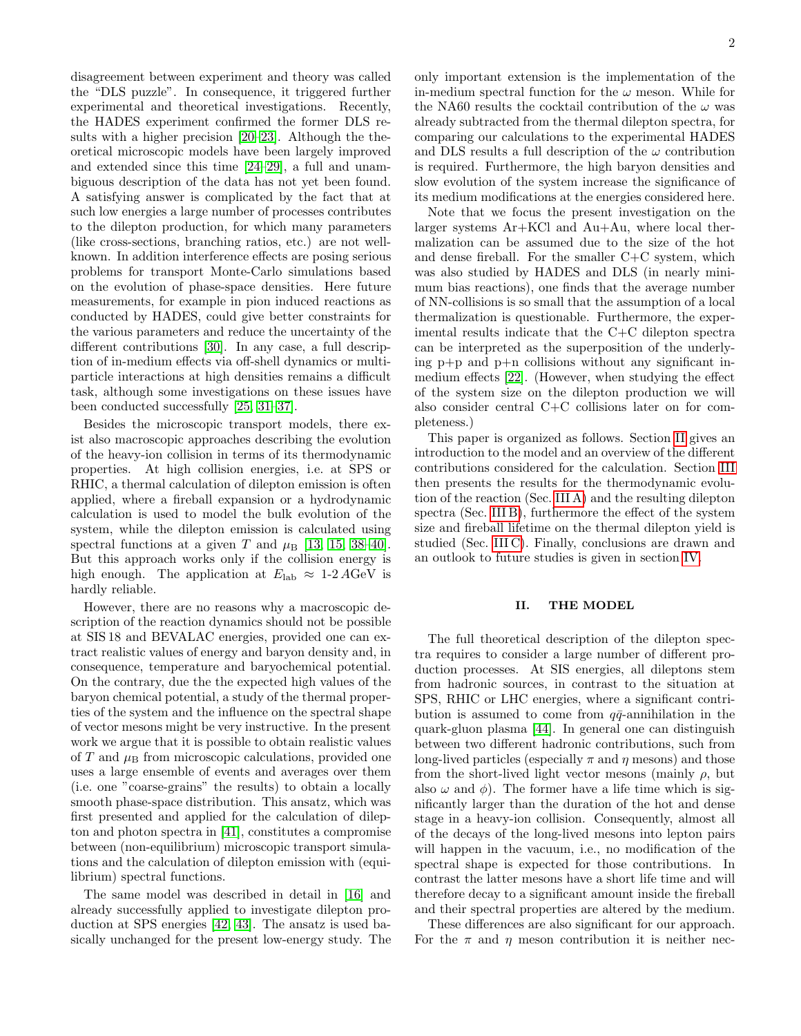disagreement between experiment and theory was called the "DLS puzzle". In consequence, it triggered further experimental and theoretical investigations. Recently, the HADES experiment confirmed the former DLS results with a higher precision [\[20](#page-14-0)[–23\]](#page-14-1). Although the theoretical microscopic models have been largely improved and extended since this time [\[24–](#page-14-2)[29\]](#page-14-3), a full and unambiguous description of the data has not yet been found. A satisfying answer is complicated by the fact that at such low energies a large number of processes contributes to the dilepton production, for which many parameters (like cross-sections, branching ratios, etc.) are not wellknown. In addition interference effects are posing serious problems for transport Monte-Carlo simulations based on the evolution of phase-space densities. Here future measurements, for example in pion induced reactions as conducted by HADES, could give better constraints for the various parameters and reduce the uncertainty of the different contributions [\[30\]](#page-14-4). In any case, a full description of in-medium effects via off-shell dynamics or multiparticle interactions at high densities remains a difficult task, although some investigations on these issues have been conducted successfully [\[25,](#page-14-5) [31](#page-14-6)[–37\]](#page-14-7).

Besides the microscopic transport models, there exist also macroscopic approaches describing the evolution of the heavy-ion collision in terms of its thermodynamic properties. At high collision energies, i.e. at SPS or RHIC, a thermal calculation of dilepton emission is often applied, where a fireball expansion or a hydrodynamic calculation is used to model the bulk evolution of the system, while the dilepton emission is calculated using spectral functions at a given T and  $\mu$ <sub>B</sub> [\[13,](#page-13-8) [15,](#page-13-13) [38–](#page-14-8)[40\]](#page-14-9). But this approach works only if the collision energy is high enough. The application at  $E_{\text{lab}} \approx 1.2 \text{ AGeV}$  is hardly reliable.

However, there are no reasons why a macroscopic description of the reaction dynamics should not be possible at SIS 18 and BEVALAC energies, provided one can extract realistic values of energy and baryon density and, in consequence, temperature and baryochemical potential. On the contrary, due the the expected high values of the baryon chemical potential, a study of the thermal properties of the system and the influence on the spectral shape of vector mesons might be very instructive. In the present work we argue that it is possible to obtain realistic values of T and  $\mu_{\rm B}$  from microscopic calculations, provided one uses a large ensemble of events and averages over them (i.e. one "coarse-grains" the results) to obtain a locally smooth phase-space distribution. This ansatz, which was first presented and applied for the calculation of dilepton and photon spectra in [\[41\]](#page-14-10), constitutes a compromise between (non-equilibrium) microscopic transport simulations and the calculation of dilepton emission with (equilibrium) spectral functions.

The same model was described in detail in [\[16\]](#page-13-9) and already successfully applied to investigate dilepton production at SPS energies [\[42,](#page-14-11) [43\]](#page-14-12). The ansatz is used basically unchanged for the present low-energy study. The only important extension is the implementation of the in-medium spectral function for the  $\omega$  meson. While for the NA60 results the cocktail contribution of the  $\omega$  was already subtracted from the thermal dilepton spectra, for comparing our calculations to the experimental HADES and DLS results a full description of the  $\omega$  contribution is required. Furthermore, the high baryon densities and slow evolution of the system increase the significance of its medium modifications at the energies considered here.

Note that we focus the present investigation on the larger systems Ar+KCl and Au+Au, where local thermalization can be assumed due to the size of the hot and dense fireball. For the smaller C+C system, which was also studied by HADES and DLS (in nearly minimum bias reactions), one finds that the average number of NN-collisions is so small that the assumption of a local thermalization is questionable. Furthermore, the experimental results indicate that the C+C dilepton spectra can be interpreted as the superposition of the underlying  $p+p$  and  $p+p$  collisions without any significant inmedium effects [\[22\]](#page-14-13). (However, when studying the effect of the system size on the dilepton production we will also consider central C+C collisions later on for completeness.)

This paper is organized as follows. Section [II](#page-1-0) gives an introduction to the model and an overview of the different contributions considered for the calculation. Section [III](#page-6-0) then presents the results for the thermodynamic evolution of the reaction (Sec. [III A\)](#page-6-1) and the resulting dilepton spectra (Sec. [III B\)](#page-7-0), furthermore the effect of the system size and fireball lifetime on the thermal dilepton yield is studied (Sec. [III C\)](#page-10-0). Finally, conclusions are drawn and an outlook to future studies is given in section [IV.](#page-12-0)

# <span id="page-1-0"></span>II. THE MODEL

The full theoretical description of the dilepton spectra requires to consider a large number of different production processes. At SIS energies, all dileptons stem from hadronic sources, in contrast to the situation at SPS, RHIC or LHC energies, where a significant contribution is assumed to come from  $q\bar{q}$ -annihilation in the quark-gluon plasma [\[44\]](#page-14-14). In general one can distinguish between two different hadronic contributions, such from long-lived particles (especially  $\pi$  and  $\eta$  mesons) and those from the short-lived light vector mesons (mainly  $\rho$ , but also  $\omega$  and  $\phi$ ). The former have a life time which is significantly larger than the duration of the hot and dense stage in a heavy-ion collision. Consequently, almost all of the decays of the long-lived mesons into lepton pairs will happen in the vacuum, i.e., no modification of the spectral shape is expected for those contributions. In contrast the latter mesons have a short life time and will therefore decay to a significant amount inside the fireball and their spectral properties are altered by the medium.

These differences are also significant for our approach. For the  $\pi$  and  $\eta$  meson contribution it is neither nec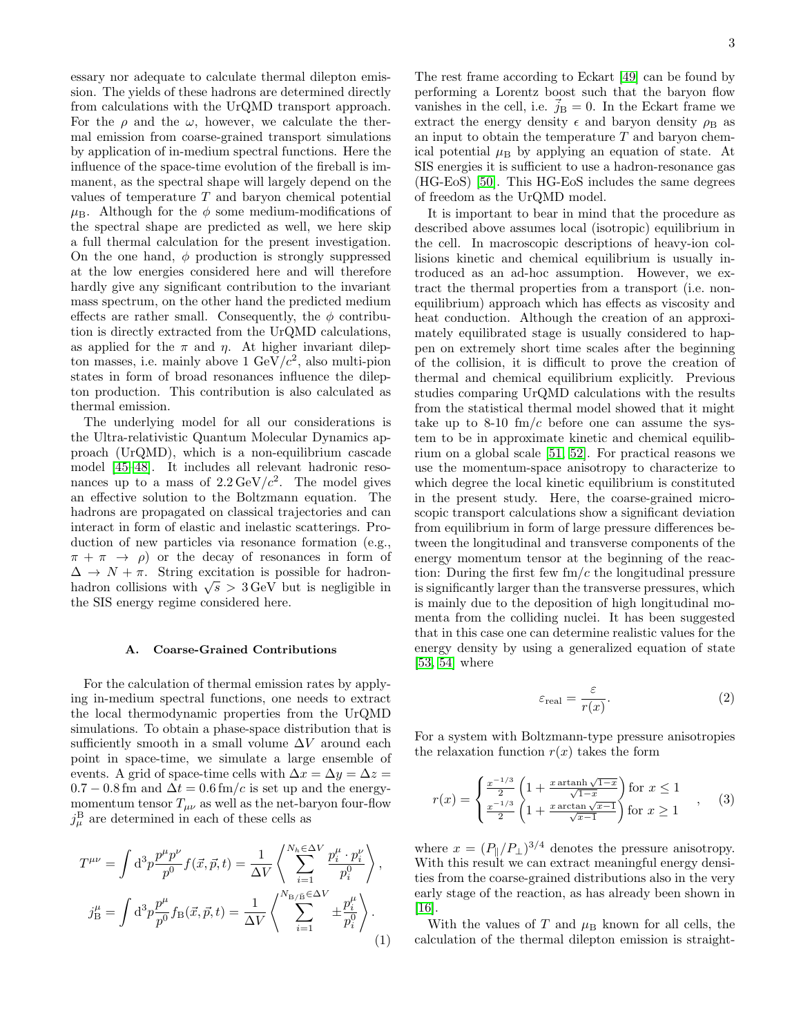essary nor adequate to calculate thermal dilepton emission. The yields of these hadrons are determined directly from calculations with the UrQMD transport approach. For the  $\rho$  and the  $\omega$ , however, we calculate the thermal emission from coarse-grained transport simulations by application of in-medium spectral functions. Here the influence of the space-time evolution of the fireball is immanent, as the spectral shape will largely depend on the values of temperature T and baryon chemical potential  $\mu_{\rm B}$ . Although for the  $\phi$  some medium-modifications of the spectral shape are predicted as well, we here skip a full thermal calculation for the present investigation. On the one hand,  $\phi$  production is strongly suppressed at the low energies considered here and will therefore hardly give any significant contribution to the invariant mass spectrum, on the other hand the predicted medium effects are rather small. Consequently, the  $\phi$  contribution is directly extracted from the UrQMD calculations, as applied for the  $\pi$  and  $\eta$ . At higher invariant dilepton masses, i.e. mainly above 1  $\text{GeV}/c^2$ , also multi-pion states in form of broad resonances influence the dilepton production. This contribution is also calculated as thermal emission.

The underlying model for all our considerations is the Ultra-relativistic Quantum Molecular Dynamics approach (UrQMD), which is a non-equilibrium cascade model [\[45](#page-14-15)[–48\]](#page-14-16). It includes all relevant hadronic resonances up to a mass of  $2.2 \,\text{GeV}/c^2$ . The model gives an effective solution to the Boltzmann equation. The hadrons are propagated on classical trajectories and can interact in form of elastic and inelastic scatterings. Production of new particles via resonance formation (e.g.,  $\pi + \pi \rightarrow \rho$  or the decay of resonances in form of  $\Delta \rightarrow N + \pi$ . String excitation is possible for hadron- $\Delta \rightarrow N + \pi$ . String excitation is possible for nadron-<br>hadron collisions with  $\sqrt{s} > 3$  GeV but is negligible in the SIS energy regime considered here.

# A. Coarse-Grained Contributions

For the calculation of thermal emission rates by applying in-medium spectral functions, one needs to extract the local thermodynamic properties from the UrQMD simulations. To obtain a phase-space distribution that is sufficiently smooth in a small volume  $\Delta V$  around each point in space-time, we simulate a large ensemble of events. A grid of space-time cells with  $\Delta x = \Delta y = \Delta z =$  $0.7 - 0.8$  fm and  $\Delta t = 0.6$  fm/c is set up and the energymomentum tensor  $T_{\mu\nu}$  as well as the net-baryon four-flow  $j^{\text{B}}_{\mu}$  are determined in each of these cells as

$$
T^{\mu\nu} = \int d^3p \frac{p^{\mu}p^{\nu}}{p^0} f(\vec{x}, \vec{p}, t) = \frac{1}{\Delta V} \left\langle \sum_{i=1}^{N_h \in \Delta V} \frac{p_i^{\mu} \cdot p_i^{\nu}}{p_i^0} \right\rangle,
$$
  

$$
j_B^{\mu} = \int d^3p \frac{p^{\mu}}{p^0} f_B(\vec{x}, \vec{p}, t) = \frac{1}{\Delta V} \left\langle \sum_{i=1}^{N_{\rm B}} \sum_{j=1}^{\infty} \pm \frac{p_i^{\mu}}{p_i^0} \right\rangle.
$$
 (1)

The rest frame according to Eckart [\[49\]](#page-14-17) can be found by performing a Lorentz boost such that the baryon flow vanishes in the cell, i.e.  $\vec{j}_B = 0$ . In the Eckart frame we extract the energy density  $\epsilon$  and baryon density  $\rho_B$  as an input to obtain the temperature  $T$  and baryon chemical potential  $\mu$ <sub>B</sub> by applying an equation of state. At SIS energies it is sufficient to use a hadron-resonance gas (HG-EoS) [\[50\]](#page-14-18). This HG-EoS includes the same degrees of freedom as the UrQMD model.

It is important to bear in mind that the procedure as described above assumes local (isotropic) equilibrium in the cell. In macroscopic descriptions of heavy-ion collisions kinetic and chemical equilibrium is usually introduced as an ad-hoc assumption. However, we extract the thermal properties from a transport (i.e. nonequilibrium) approach which has effects as viscosity and heat conduction. Although the creation of an approximately equilibrated stage is usually considered to happen on extremely short time scales after the beginning of the collision, it is difficult to prove the creation of thermal and chemical equilibrium explicitly. Previous studies comparing UrQMD calculations with the results from the statistical thermal model showed that it might take up to 8-10  $\text{fm}/c$  before one can assume the system to be in approximate kinetic and chemical equilibrium on a global scale [\[51,](#page-14-19) [52\]](#page-14-20). For practical reasons we use the momentum-space anisotropy to characterize to which degree the local kinetic equilibrium is constituted in the present study. Here, the coarse-grained microscopic transport calculations show a significant deviation from equilibrium in form of large pressure differences between the longitudinal and transverse components of the energy momentum tensor at the beginning of the reaction: During the first few  $\text{fm}/c$  the longitudinal pressure is significantly larger than the transverse pressures, which is mainly due to the deposition of high longitudinal momenta from the colliding nuclei. It has been suggested that in this case one can determine realistic values for the energy density by using a generalized equation of state [\[53,](#page-14-21) [54\]](#page-14-22) where

$$
\varepsilon_{\text{real}} = \frac{\varepsilon}{r(x)}.\tag{2}
$$

For a system with Boltzmann-type pressure anisotropies the relaxation function  $r(x)$  takes the form

$$
r(x) = \begin{cases} \frac{x^{-1/3}}{2} \left( 1 + \frac{x \arctan\sqrt{1-x}}{\sqrt{1-x}} \right) \text{ for } x \le 1\\ \frac{x^{-1/3}}{2} \left( 1 + \frac{x \arctan\sqrt{x-1}}{\sqrt{x-1}} \right) \text{ for } x \ge 1 \end{cases}, \quad (3)
$$

where  $x = (P_{\parallel}/P_{\perp})^{3/4}$  denotes the pressure anisotropy. With this result we can extract meaningful energy densities from the coarse-grained distributions also in the very early stage of the reaction, as has already been shown in [\[16\]](#page-13-9).

With the values of T and  $\mu$ <sub>B</sub> known for all cells, the calculation of the thermal dilepton emission is straight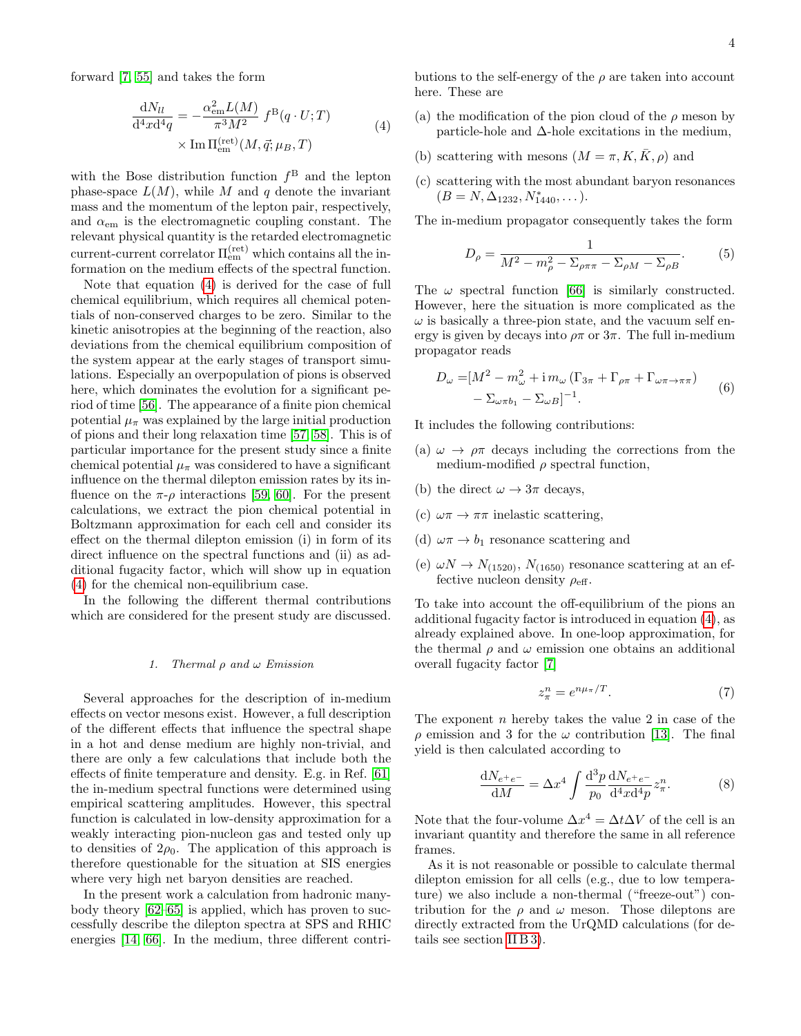<span id="page-3-0"></span>forward [\[7,](#page-13-14) [55\]](#page-14-23) and takes the form

$$
\frac{dN_{ll}}{d^4x d^4q} = -\frac{\alpha_{em}^2 L(M)}{\pi^3 M^2} f^{B}(q \cdot U; T)
$$
\n
$$
\times \text{Im } \Pi_{em}^{(\text{ret})}(M, \vec{q}; \mu_B, T)
$$
\n(4)

with the Bose distribution function  $f^B$  and the lepton phase-space  $L(M)$ , while M and q denote the invariant mass and the momentum of the lepton pair, respectively, and  $\alpha_{em}$  is the electromagnetic coupling constant. The relevant physical quantity is the retarded electromagnetic current-current correlator  $\Pi_{\rm em}^{\rm (ret)}$  which contains all the information on the medium effects of the spectral function.

Note that equation [\(4\)](#page-3-0) is derived for the case of full chemical equilibrium, which requires all chemical potentials of non-conserved charges to be zero. Similar to the kinetic anisotropies at the beginning of the reaction, also deviations from the chemical equilibrium composition of the system appear at the early stages of transport simulations. Especially an overpopulation of pions is observed here, which dominates the evolution for a significant period of time [\[56\]](#page-14-24). The appearance of a finite pion chemical potential  $\mu_{\pi}$  was explained by the large initial production of pions and their long relaxation time [\[57,](#page-14-25) [58\]](#page-14-26). This is of particular importance for the present study since a finite chemical potential  $\mu_{\pi}$  was considered to have a significant influence on the thermal dilepton emission rates by its influence on the  $\pi$ - $\rho$  interactions [\[59,](#page-14-27) [60\]](#page-14-28). For the present calculations, we extract the pion chemical potential in Boltzmann approximation for each cell and consider its effect on the thermal dilepton emission (i) in form of its direct influence on the spectral functions and (ii) as additional fugacity factor, which will show up in equation [\(4\)](#page-3-0) for the chemical non-equilibrium case.

In the following the different thermal contributions which are considered for the present study are discussed.

#### 1. Thermal  $\rho$  and  $\omega$  Emission

Several approaches for the description of in-medium effects on vector mesons exist. However, a full description of the different effects that influence the spectral shape in a hot and dense medium are highly non-trivial, and there are only a few calculations that include both the effects of finite temperature and density. E.g. in Ref. [\[61\]](#page-14-29) the in-medium spectral functions were determined using empirical scattering amplitudes. However, this spectral function is calculated in low-density approximation for a weakly interacting pion-nucleon gas and tested only up to densities of  $2\rho_0$ . The application of this approach is therefore questionable for the situation at SIS energies where very high net baryon densities are reached.

In the present work a calculation from hadronic manybody theory [\[62–](#page-14-30)[65\]](#page-14-31) is applied, which has proven to successfully describe the dilepton spectra at SPS and RHIC energies [\[14,](#page-13-15) [66\]](#page-14-32). In the medium, three different contributions to the self-energy of the  $\rho$  are taken into account here. These are

- (a) the modification of the pion cloud of the  $\rho$  meson by particle-hole and  $\Delta$ -hole excitations in the medium,
- (b) scattering with mesons  $(M = \pi, K, \overline{K}, \rho)$  and
- (c) scattering with the most abundant baryon resonances  $(B = N, \Delta_{1232}, N^*_{1440}, \dots).$

The in-medium propagator consequently takes the form

$$
D_{\rho} = \frac{1}{M^2 - m_{\rho}^2 - \Sigma_{\rho \pi \pi} - \Sigma_{\rho M} - \Sigma_{\rho B}}.
$$
 (5)

The  $\omega$  spectral function [\[66\]](#page-14-32) is similarly constructed. However, here the situation is more complicated as the  $\omega$  is basically a three-pion state, and the vacuum self energy is given by decays into  $\rho \pi$  or  $3\pi$ . The full in-medium propagator reads

$$
D_{\omega} = [M^2 - m_{\omega}^2 + i m_{\omega} (\Gamma_{3\pi} + \Gamma_{\rho\pi} + \Gamma_{\omega\pi \to \pi\pi})
$$
  

$$
- \Sigma_{\omega\pi b_1} - \Sigma_{\omega B}]^{-1}.
$$
 (6)

It includes the following contributions:

- (a)  $\omega \to \rho \pi$  decays including the corrections from the medium-modified  $\rho$  spectral function,
- (b) the direct  $\omega \to 3\pi$  decays,
- (c)  $\omega \pi \rightarrow \pi \pi$  inelastic scattering,
- (d)  $\omega \pi \rightarrow b_1$  resonance scattering and
- (e)  $\omega N \rightarrow N_{(1520)}$ ,  $N_{(1650)}$  resonance scattering at an effective nucleon density  $\rho_{\text{eff}}$ .

To take into account the off-equilibrium of the pions an additional fugacity factor is introduced in equation [\(4\)](#page-3-0), as already explained above. In one-loop approximation, for the thermal  $\rho$  and  $\omega$  emission one obtains an additional overall fugacity factor [\[7\]](#page-13-14)

$$
z_{\pi}^{n} = e^{n\mu_{\pi}/T}.
$$
 (7)

The exponent  $n$  hereby takes the value 2 in case of the  $\rho$  emission and 3 for the  $\omega$  contribution [\[13\]](#page-13-8). The final yield is then calculated according to

$$
\frac{dN_{e^{+}e^{-}}}{dM} = \Delta x^{4} \int \frac{d^{3}p}{p_{0}} \frac{dN_{e^{+}e^{-}}}{d^{4}x d^{4}p} z_{\pi}^{n}.
$$
 (8)

Note that the four-volume  $\Delta x^4 = \Delta t \Delta V$  of the cell is an invariant quantity and therefore the same in all reference frames.

As it is not reasonable or possible to calculate thermal dilepton emission for all cells (e.g., due to low temperature) we also include a non-thermal ("freeze-out") contribution for the  $\rho$  and  $\omega$  meson. Those dileptons are directly extracted from the UrQMD calculations (for details see section [II B 3\)](#page-4-0).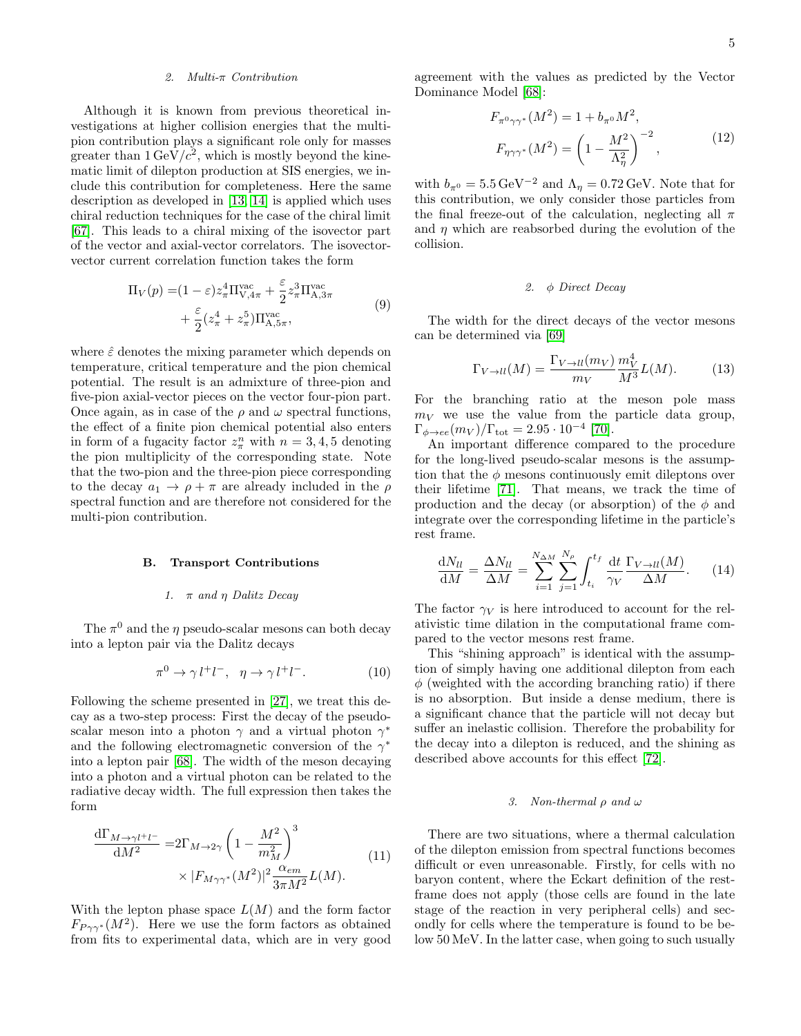### 2. Multi-π Contribution

Although it is known from previous theoretical investigations at higher collision energies that the multipion contribution plays a significant role only for masses greater than  $1 \,\text{GeV}/c^2$ , which is mostly beyond the kinematic limit of dilepton production at SIS energies, we include this contribution for completeness. Here the same description as developed in [\[13,](#page-13-8) [14\]](#page-13-15) is applied which uses chiral reduction techniques for the case of the chiral limit [\[67\]](#page-14-33). This leads to a chiral mixing of the isovector part of the vector and axial-vector correlators. The isovectorvector current correlation function takes the form

$$
\Pi_V(p) = (1 - \varepsilon) z_\pi^4 \Pi_{V,4\pi}^{\text{vac}} + \frac{\varepsilon}{2} z_\pi^3 \Pi_{A,3\pi}^{\text{vac}} + \frac{\varepsilon}{2} (z_\pi^4 + z_\pi^5) \Pi_{A,5\pi}^{\text{vac}}, \tag{9}
$$

where  $\hat{\varepsilon}$  denotes the mixing parameter which depends on temperature, critical temperature and the pion chemical potential. The result is an admixture of three-pion and five-pion axial-vector pieces on the vector four-pion part. Once again, as in case of the  $\rho$  and  $\omega$  spectral functions, the effect of a finite pion chemical potential also enters in form of a fugacity factor  $z_{\pi}^n$  with  $n = 3, 4, 5$  denoting the pion multiplicity of the corresponding state. Note that the two-pion and the three-pion piece corresponding to the decay  $a_1 \rightarrow \rho + \pi$  are already included in the  $\rho$ spectral function and are therefore not considered for the multi-pion contribution.

#### B. Transport Contributions

#### 1.  $\pi$  and  $\eta$  Dalitz Decay

The  $\pi^0$  and the  $\eta$  pseudo-scalar mesons can both decay into a lepton pair via the Dalitz decays

$$
\pi^0 \to \gamma l^+ l^-, \quad \eta \to \gamma l^+ l^-.
$$
 (10)

Following the scheme presented in [\[27\]](#page-14-34), we treat this decay as a two-step process: First the decay of the pseudoscalar meson into a photon  $\gamma$  and a virtual photon  $\gamma^*$ and the following electromagnetic conversion of the  $\gamma^*$ into a lepton pair [\[68\]](#page-14-35). The width of the meson decaying into a photon and a virtual photon can be related to the radiative decay width. The full expression then takes the form

<span id="page-4-3"></span>
$$
\frac{\mathrm{d}\Gamma_{M\to\gamma l^+l^-}}{\mathrm{d}M^2} = 2\Gamma_{M\to 2\gamma} \left(1 - \frac{M^2}{m_M^2}\right)^3 \times |F_{M\gamma\gamma^*}(M^2)|^2 \frac{\alpha_{em}}{3\pi M^2} L(M). \tag{11}
$$

With the lepton phase space  $L(M)$  and the form factor  $F_{P\gamma\gamma^*}(M^2)$ . Here we use the form factors as obtained from fits to experimental data, which are in very good agreement with the values as predicted by the Vector Dominance Model [\[68\]](#page-14-35):

$$
F_{\pi^0 \gamma \gamma^*}(M^2) = 1 + b_{\pi^0} M^2,
$$
  
\n
$$
F_{\eta \gamma \gamma^*}(M^2) = \left(1 - \frac{M^2}{\Lambda_\eta^2}\right)^{-2},
$$
\n(12)

with  $b_{\pi^0} = 5.5 \,\text{GeV}^{-2}$  and  $\Lambda_{\eta} = 0.72 \,\text{GeV}$ . Note that for this contribution, we only consider those particles from the final freeze-out of the calculation, neglecting all  $\pi$ and  $\eta$  which are reabsorbed during the evolution of the collision.

# <span id="page-4-1"></span>2. φ Direct Decay

The width for the direct decays of the vector mesons can be determined via [\[69\]](#page-14-36)

<span id="page-4-2"></span>
$$
\Gamma_{V \to ll}(M) = \frac{\Gamma_{V \to ll}(m_V)}{m_V} \frac{m_V^4}{M^3} L(M). \tag{13}
$$

For the branching ratio at the meson pole mass  $m_V$  we use the value from the particle data group,  $\Gamma_{\phi \to ee} (m_V)/\Gamma_{\text{tot}} = 2.95 \cdot 10^{-4}$  [\[70\]](#page-14-37).

An important difference compared to the procedure for the long-lived pseudo-scalar mesons is the assumption that the  $\phi$  mesons continuously emit dileptons over their lifetime [\[71\]](#page-14-38). That means, we track the time of production and the decay (or absorption) of the  $\phi$  and integrate over the corresponding lifetime in the particle's rest frame.

 $\mathbf{v}$ 

<span id="page-4-4"></span>
$$
\frac{\mathrm{d}N_{ll}}{\mathrm{d}M} = \frac{\Delta N_{ll}}{\Delta M} = \sum_{i=1}^{N_{\Delta M}} \sum_{j=1}^{N_{\rho}} \int_{t_i}^{t_f} \frac{\mathrm{d}t}{\gamma_V} \frac{\Gamma_{V \to ll}(M)}{\Delta M}.
$$
 (14)

The factor  $\gamma_V$  is here introduced to account for the relativistic time dilation in the computational frame compared to the vector mesons rest frame.

This "shining approach" is identical with the assumption of simply having one additional dilepton from each  $\phi$  (weighted with the according branching ratio) if there is no absorption. But inside a dense medium, there is a significant chance that the particle will not decay but suffer an inelastic collision. Therefore the probability for the decay into a dilepton is reduced, and the shining as described above accounts for this effect [\[72\]](#page-14-39).

#### <span id="page-4-0"></span>3. Non-thermal  $\rho$  and  $\omega$

There are two situations, where a thermal calculation of the dilepton emission from spectral functions becomes difficult or even unreasonable. Firstly, for cells with no baryon content, where the Eckart definition of the restframe does not apply (those cells are found in the late stage of the reaction in very peripheral cells) and secondly for cells where the temperature is found to be below 50 MeV. In the latter case, when going to such usually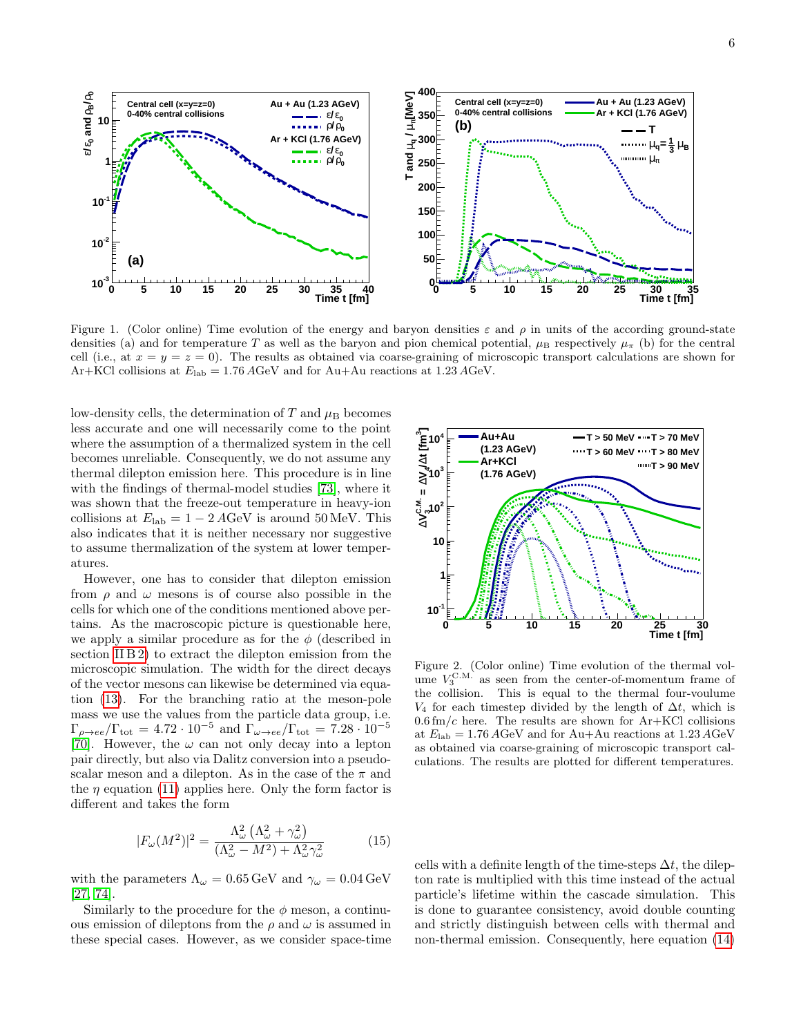

<span id="page-5-0"></span>Figure 1. (Color online) Time evolution of the energy and baryon densities  $\varepsilon$  and  $\rho$  in units of the according ground-state densities (a) and for temperature T as well as the baryon and pion chemical potential,  $\mu_B$  respectively  $\mu_{\pi}$  (b) for the central cell (i.e., at  $x = y = z = 0$ ). The results as obtained via coarse-graining of microscopic transport calculations are shown for Ar+KCl collisions at  $E_{\text{lab}} = 1.76 \text{ AGeV}$  and for Au+Au reactions at 1.23 AGeV.

low-density cells, the determination of  $T$  and  $\mu$ <sub>B</sub> becomes less accurate and one will necessarily come to the point where the assumption of a thermalized system in the cell becomes unreliable. Consequently, we do not assume any thermal dilepton emission here. This procedure is in line with the findings of thermal-model studies [\[73\]](#page-14-40), where it was shown that the freeze-out temperature in heavy-ion collisions at  $E_{\text{lab}} = 1 - 2 A \text{GeV}$  is around 50 MeV. This also indicates that it is neither necessary nor suggestive to assume thermalization of the system at lower temperatures.

However, one has to consider that dilepton emission from  $\rho$  and  $\omega$  mesons is of course also possible in the cells for which one of the conditions mentioned above pertains. As the macroscopic picture is questionable here, we apply a similar procedure as for the  $\phi$  (described in section [II B 2\)](#page-4-1) to extract the dilepton emission from the microscopic simulation. The width for the direct decays of the vector mesons can likewise be determined via equation [\(13\)](#page-4-2). For the branching ratio at the meson-pole mass we use the values from the particle data group, i.e.  $\Gamma_{\rho \to ee}/\Gamma_{\text{tot}} = 4.72 \cdot 10^{-5}$  and  $\Gamma_{\omega \to ee}/\Gamma_{\text{tot}} = 7.28 \cdot 10^{-5}$ [\[70\]](#page-14-37). However, the  $\omega$  can not only decay into a lepton pair directly, but also via Dalitz conversion into a pseudoscalar meson and a dilepton. As in the case of the  $\pi$  and the  $\eta$  equation [\(11\)](#page-4-3) applies here. Only the form factor is different and takes the form

$$
|F_{\omega}(M^2)|^2 = \frac{\Lambda_{\omega}^2 \left(\Lambda_{\omega}^2 + \gamma_{\omega}^2\right)}{\left(\Lambda_{\omega}^2 - M^2\right) + \Lambda_{\omega}^2 \gamma_{\omega}^2} \tag{15}
$$

with the parameters  $\Lambda_{\omega} = 0.65 \,\text{GeV}$  and  $\gamma_{\omega} = 0.04 \,\text{GeV}$ [\[27,](#page-14-34) [74\]](#page-14-41).

Similarly to the procedure for the  $\phi$  meson, a continuous emission of dileptons from the  $\rho$  and  $\omega$  is assumed in these special cases. However, as we consider space-time



<span id="page-5-1"></span>Figure 2. (Color online) Time evolution of the thermal volume  $V_3^{\text{C.M.}}$  as seen from the center-of-momentum frame of the collision. This is equal to the thermal four-voulume  $V_4$  for each timestep divided by the length of  $\Delta t$ , which is  $0.6 \,\mathrm{fm}/c$  here. The results are shown for Ar+KCl collisions at  $E_{\text{lab}} = 1.76 \text{ AGeV}$  and for Au+Au reactions at  $1.23 \text{ AGeV}$ as obtained via coarse-graining of microscopic transport calculations. The results are plotted for different temperatures.

cells with a definite length of the time-steps  $\Delta t$ , the dilepton rate is multiplied with this time instead of the actual particle's lifetime within the cascade simulation. This is done to guarantee consistency, avoid double counting and strictly distinguish between cells with thermal and non-thermal emission. Consequently, here equation [\(14\)](#page-4-4)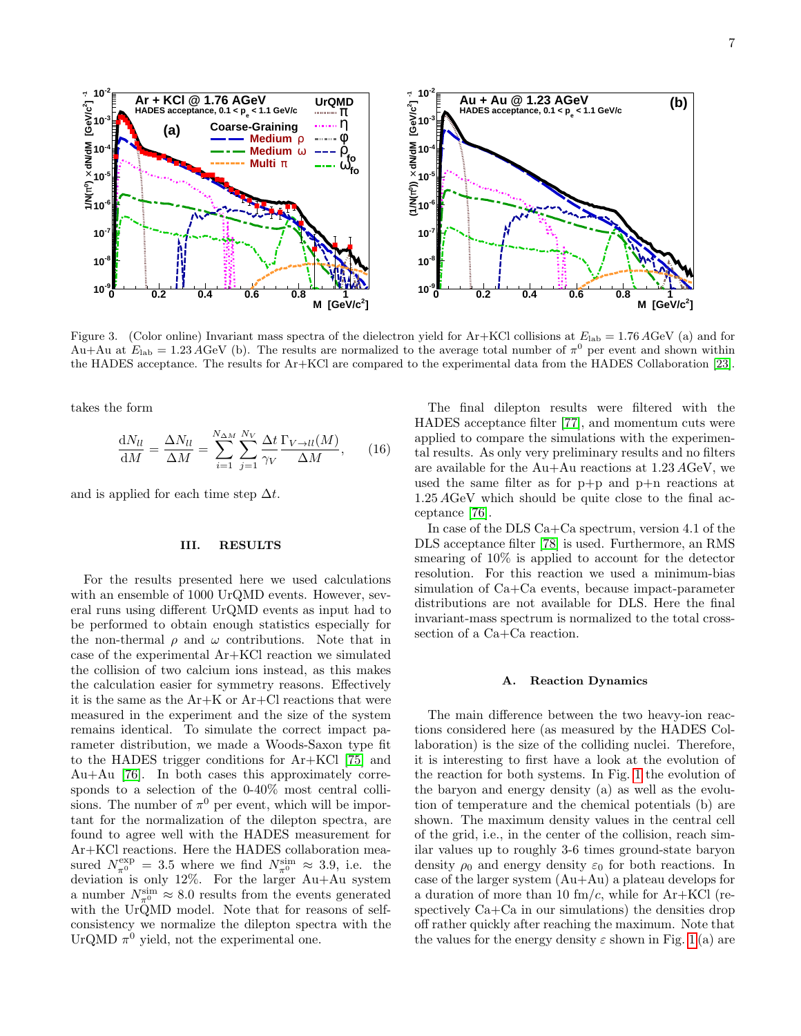

<span id="page-6-2"></span>Figure 3. (Color online) Invariant mass spectra of the dielectron yield for Ar+KCl collisions at  $E_{\text{lab}} = 1.76 \text{ AGeV}$  (a) and for  $Au+Au$  at  $E_{lab} = 1.23 \,\text{\AA} GeV$  (b). The results are normalized to the average total number of  $\pi^0$  per event and shown within the HADES acceptance. The results for Ar+KCl are compared to the experimental data from the HADES Collaboration [\[23\]](#page-14-1).

takes the form

$$
\frac{dN_{ll}}{dM} = \frac{\Delta N_{ll}}{\Delta M} = \sum_{i=1}^{N_{\Delta M}} \sum_{j=1}^{N_V} \frac{\Delta t}{\gamma V} \frac{\Gamma_{V \to ll}(M)}{\Delta M}, \quad (16)
$$

and is applied for each time step  $\Delta t$ .

### <span id="page-6-0"></span>III. RESULTS

For the results presented here we used calculations with an ensemble of 1000 UrQMD events. However, several runs using different UrQMD events as input had to be performed to obtain enough statistics especially for the non-thermal  $\rho$  and  $\omega$  contributions. Note that in case of the experimental Ar+KCl reaction we simulated the collision of two calcium ions instead, as this makes the calculation easier for symmetry reasons. Effectively it is the same as the Ar+K or Ar+Cl reactions that were measured in the experiment and the size of the system remains identical. To simulate the correct impact parameter distribution, we made a Woods-Saxon type fit to the HADES trigger conditions for Ar+KCl [\[75\]](#page-14-42) and Au+Au [\[76\]](#page-14-43). In both cases this approximately corresponds to a selection of the 0-40% most central collisions. The number of  $\pi^0$  per event, which will be important for the normalization of the dilepton spectra, are found to agree well with the HADES measurement for Ar+KCl reactions. Here the HADES collaboration measured  $N_{\pi^0}^{\text{exp}} = 3.5$  where we find  $N_{\pi^0}^{\text{sim}} \approx 3.9$ , i.e. the deviation is only 12%. For the larger Au+Au system a number  $N_{\pi^0}^{\text{sim}} \approx 8.0$  results from the events generated with the UrQMD model. Note that for reasons of selfconsistency we normalize the dilepton spectra with the UrQMD  $\pi^0$  yield, not the experimental one.

The final dilepton results were filtered with the HADES acceptance filter [\[77\]](#page-14-44), and momentum cuts were applied to compare the simulations with the experimental results. As only very preliminary results and no filters are available for the Au+Au reactions at 1.23 AGeV, we used the same filter as for p+p and p+n reactions at 1.25 AGeV which should be quite close to the final acceptance [\[76\]](#page-14-43).

In case of the DLS Ca+Ca spectrum, version 4.1 of the DLS acceptance filter [\[78\]](#page-14-45) is used. Furthermore, an RMS smearing of 10% is applied to account for the detector resolution. For this reaction we used a minimum-bias simulation of Ca+Ca events, because impact-parameter distributions are not available for DLS. Here the final invariant-mass spectrum is normalized to the total crosssection of a Ca+Ca reaction.

#### <span id="page-6-1"></span>A. Reaction Dynamics

The main difference between the two heavy-ion reactions considered here (as measured by the HADES Collaboration) is the size of the colliding nuclei. Therefore, it is interesting to first have a look at the evolution of the reaction for both systems. In Fig. [1](#page-5-0) the evolution of the baryon and energy density (a) as well as the evolution of temperature and the chemical potentials (b) are shown. The maximum density values in the central cell of the grid, i.e., in the center of the collision, reach similar values up to roughly 3-6 times ground-state baryon density  $\rho_0$  and energy density  $\varepsilon_0$  for both reactions. In case of the larger system  $(Au+Au)$  a plateau develops for a duration of more than 10  $\text{fm}/c$ , while for Ar+KCl (respectively Ca+Ca in our simulations) the densities drop off rather quickly after reaching the maximum. Note that the values for the energy density  $\varepsilon$  shown in Fig. [1](#page-5-0) (a) are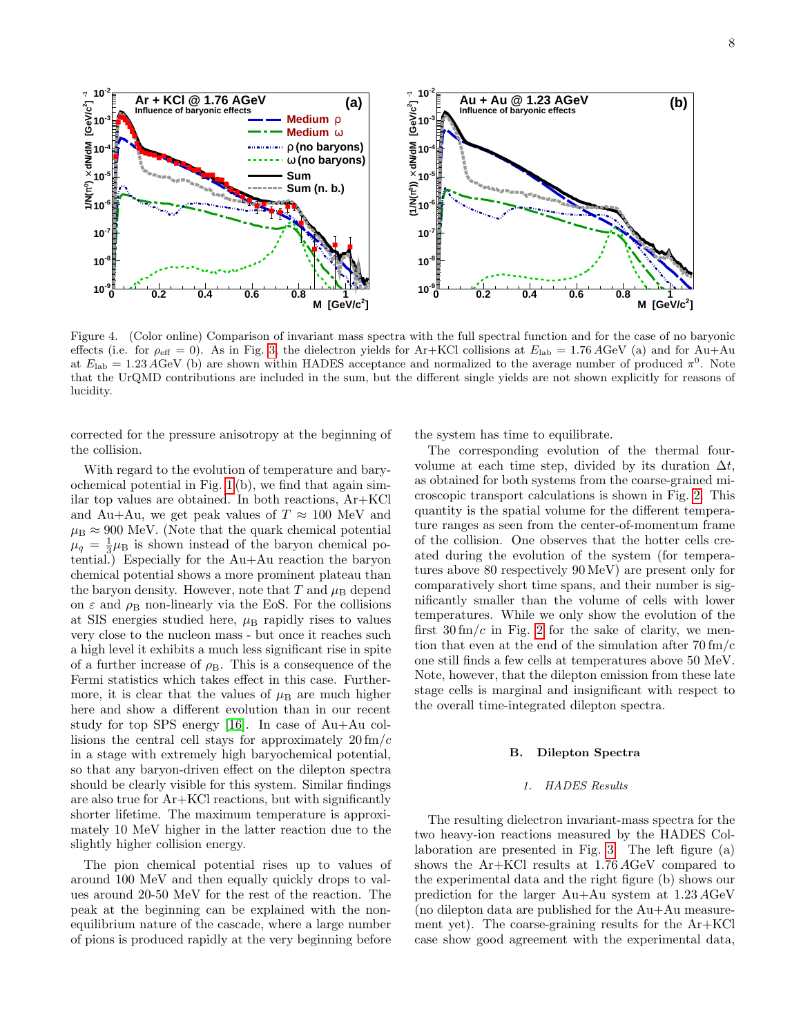

<span id="page-7-1"></span>Figure 4. (Color online) Comparison of invariant mass spectra with the full spectral function and for the case of no baryonic effects (i.e. for  $\rho_{\text{eff}} = 0$ ). As in Fig. [3,](#page-6-2) the dielectron yields for Ar+KCl collisions at  $E_{\text{lab}} = 1.76 \text{ AGeV}$  (a) and for Au+Au at  $E_{\rm lab} = 1.23 \text{ AGeV}$  (b) are shown within HADES acceptance and normalized to the average number of produced  $\pi^0$ . Note that the UrQMD contributions are included in the sum, but the different single yields are not shown explicitly for reasons of lucidity.

corrected for the pressure anisotropy at the beginning of the collision.

With regard to the evolution of temperature and baryochemical potential in Fig. [1](#page-5-0) (b), we find that again similar top values are obtained. In both reactions, Ar+KCl and Au+Au, we get peak values of  $T \approx 100$  MeV and  $\mu_{\rm B} \approx 900$  MeV. (Note that the quark chemical potential  $\mu_q = \frac{1}{3}\mu_B$  is shown instead of the baryon chemical potential.) Especially for the Au+Au reaction the baryon chemical potential shows a more prominent plateau than the baryon density. However, note that T and  $\mu_{\rm B}$  depend on  $\varepsilon$  and  $\rho_B$  non-linearly via the EoS. For the collisions at SIS energies studied here,  $\mu$ <sub>B</sub> rapidly rises to values very close to the nucleon mass - but once it reaches such a high level it exhibits a much less significant rise in spite of a further increase of  $\rho_{\rm B}$ . This is a consequence of the Fermi statistics which takes effect in this case. Furthermore, it is clear that the values of  $\mu_B$  are much higher here and show a different evolution than in our recent study for top SPS energy [\[16\]](#page-13-9). In case of Au+Au collisions the central cell stays for approximately  $20 \text{ fm}/c$ in a stage with extremely high baryochemical potential, so that any baryon-driven effect on the dilepton spectra should be clearly visible for this system. Similar findings are also true for Ar+KCl reactions, but with significantly shorter lifetime. The maximum temperature is approximately 10 MeV higher in the latter reaction due to the slightly higher collision energy.

The pion chemical potential rises up to values of around 100 MeV and then equally quickly drops to values around 20-50 MeV for the rest of the reaction. The peak at the beginning can be explained with the nonequilibrium nature of the cascade, where a large number of pions is produced rapidly at the very beginning before

the system has time to equilibrate.

The corresponding evolution of the thermal fourvolume at each time step, divided by its duration  $\Delta t$ , as obtained for both systems from the coarse-grained microscopic transport calculations is shown in Fig. [2.](#page-5-1) This quantity is the spatial volume for the different temperature ranges as seen from the center-of-momentum frame of the collision. One observes that the hotter cells created during the evolution of the system (for temperatures above 80 respectively 90 MeV) are present only for comparatively short time spans, and their number is significantly smaller than the volume of cells with lower temperatures. While we only show the evolution of the first  $30 \, \text{fm}/c$  in Fig. [2](#page-5-1) for the sake of clarity, we mention that even at the end of the simulation after 70 fm/c one still finds a few cells at temperatures above 50 MeV. Note, however, that the dilepton emission from these late stage cells is marginal and insignificant with respect to the overall time-integrated dilepton spectra.

### <span id="page-7-0"></span>B. Dilepton Spectra

#### 1. HADES Results

The resulting dielectron invariant-mass spectra for the two heavy-ion reactions measured by the HADES Collaboration are presented in Fig. [3.](#page-6-2) The left figure (a) shows the Ar+KCl results at 1.76 AGeV compared to the experimental data and the right figure (b) shows our prediction for the larger Au+Au system at 1.23 AGeV (no dilepton data are published for the Au+Au measurement yet). The coarse-graining results for the Ar+KCl case show good agreement with the experimental data,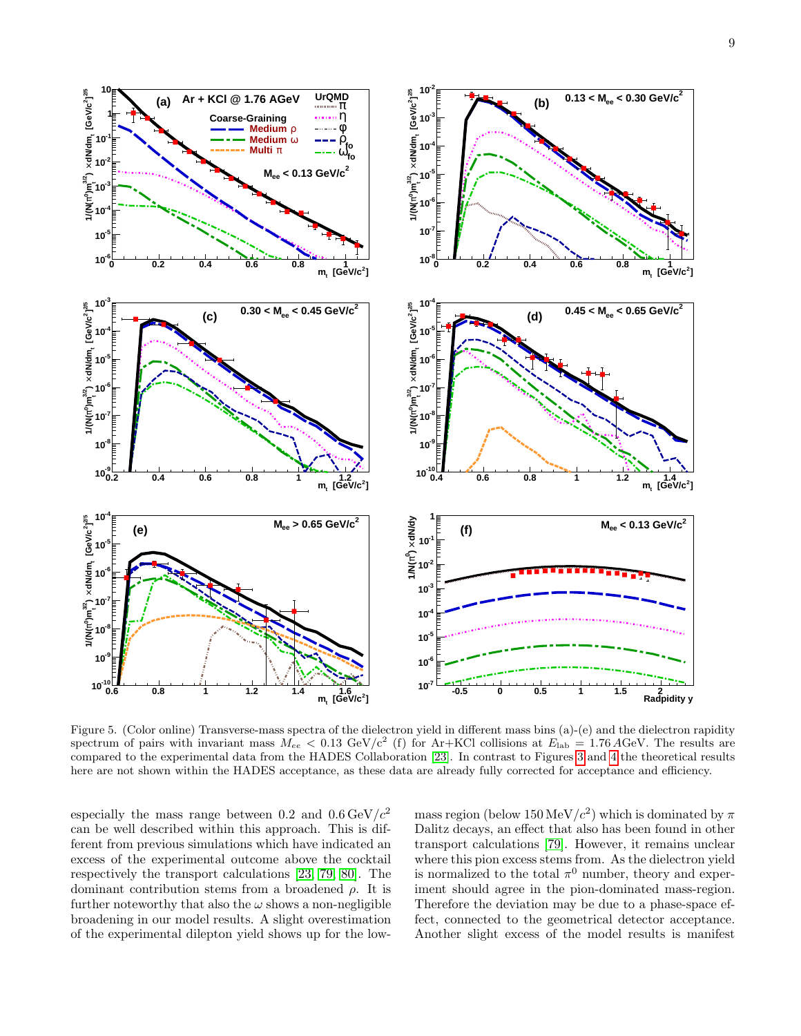

<span id="page-8-0"></span>Figure 5. (Color online) Transverse-mass spectra of the dielectron yield in different mass bins (a)-(e) and the dielectron rapidity spectrum of pairs with invariant mass  $M_{ee} < 0.13 \text{ GeV}/c^2$  (f) for Ar+KCl collisions at  $E_{\text{lab}} = 1.76 \text{ AGeV}$ . The results are compared to the experimental data from the HADES Collaboration [\[23\]](#page-14-1). In contrast to Figures [3](#page-6-2) and [4](#page-7-1) the theoretical results here are not shown within the HADES acceptance, as these data are already fully corrected for acceptance and efficiency.

especially the mass range between 0.2 and  $0.6 \,\text{GeV}/c^2$ can be well described within this approach. This is different from previous simulations which have indicated an excess of the experimental outcome above the cocktail respectively the transport calculations [\[23,](#page-14-1) [79,](#page-14-46) [80\]](#page-14-47). The dominant contribution stems from a broadened  $\rho$ . It is further noteworthy that also the  $\omega$  shows a non-negligible broadening in our model results. A slight overestimation of the experimental dilepton yield shows up for the low-

mass region (below  $150 \,\mathrm{MeV}/c^2$ ) which is dominated by  $\pi$ Dalitz decays, an effect that also has been found in other transport calculations [\[79\]](#page-14-46). However, it remains unclear where this pion excess stems from. As the dielectron yield is normalized to the total  $\pi^0$  number, theory and experiment should agree in the pion-dominated mass-region. Therefore the deviation may be due to a phase-space effect, connected to the geometrical detector acceptance. Another slight excess of the model results is manifest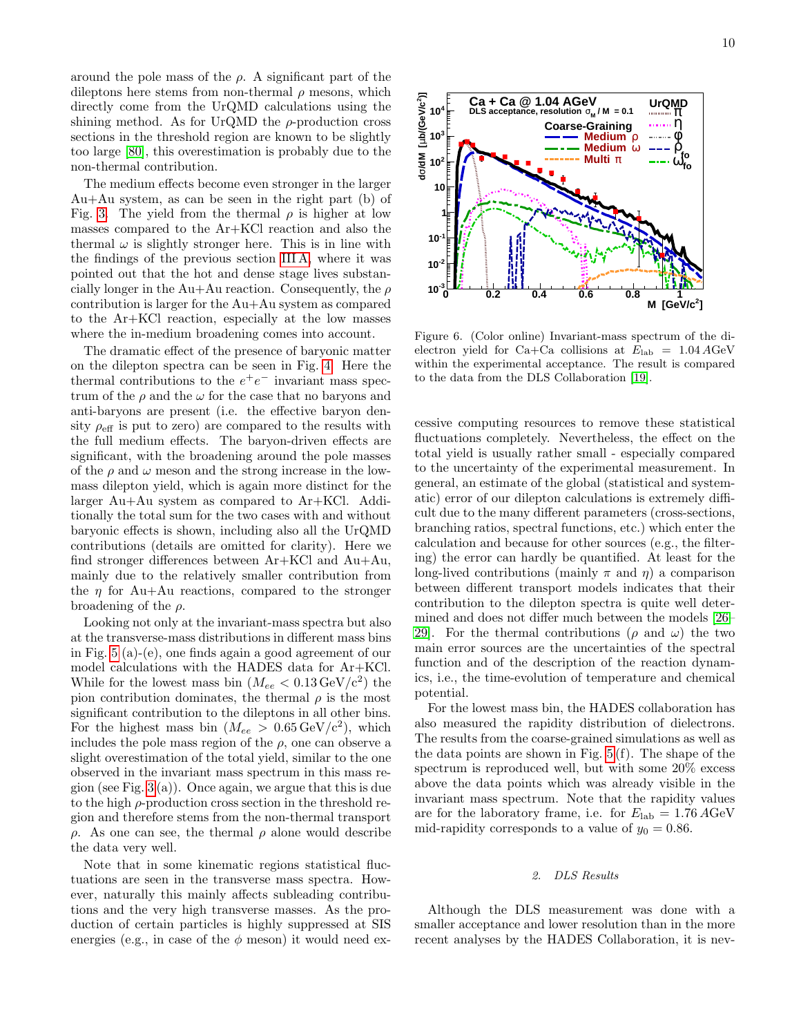around the pole mass of the  $\rho$ . A significant part of the dileptons here stems from non-thermal  $\rho$  mesons, which directly come from the UrQMD calculations using the shining method. As for UrQMD the  $\rho$ -production cross sections in the threshold region are known to be slightly too large [\[80\]](#page-14-47), this overestimation is probably due to the non-thermal contribution.

The medium effects become even stronger in the larger Au+Au system, as can be seen in the right part (b) of Fig. [3.](#page-6-2) The yield from the thermal  $\rho$  is higher at low masses compared to the Ar+KCl reaction and also the thermal  $\omega$  is slightly stronger here. This is in line with the findings of the previous section [III A,](#page-6-1) where it was pointed out that the hot and dense stage lives substancially longer in the Au+Au reaction. Consequently, the  $\rho$ contribution is larger for the Au+Au system as compared to the Ar+KCl reaction, especially at the low masses where the in-medium broadening comes into account.

The dramatic effect of the presence of baryonic matter on the dilepton spectra can be seen in Fig. [4.](#page-7-1) Here the thermal contributions to the  $e^+e^-$  invariant mass spectrum of the  $\rho$  and the  $\omega$  for the case that no baryons and anti-baryons are present (i.e. the effective baryon density  $\rho_{\text{eff}}$  is put to zero) are compared to the results with the full medium effects. The baryon-driven effects are significant, with the broadening around the pole masses of the  $\rho$  and  $\omega$  meson and the strong increase in the lowmass dilepton yield, which is again more distinct for the larger Au+Au system as compared to Ar+KCl. Additionally the total sum for the two cases with and without baryonic effects is shown, including also all the UrQMD contributions (details are omitted for clarity). Here we find stronger differences between Ar+KCl and Au+Au, mainly due to the relatively smaller contribution from the  $\eta$  for Au+Au reactions, compared to the stronger broadening of the  $\rho$ .

Looking not only at the invariant-mass spectra but also at the transverse-mass distributions in different mass bins in Fig. [5](#page-8-0) (a)-(e), one finds again a good agreement of our model calculations with the HADES data for Ar+KCl. While for the lowest mass bin  $(M_{ee} < 0.13 \,\text{GeV/c}^2)$  the pion contribution dominates, the thermal  $\rho$  is the most significant contribution to the dileptons in all other bins. For the highest mass bin  $(M_{ee} > 0.65 \,\text{GeV/c}^2)$ , which includes the pole mass region of the  $\rho$ , one can observe a slight overestimation of the total yield, similar to the one observed in the invariant mass spectrum in this mass region (see Fig.  $3(a)$ ). Once again, we argue that this is due to the high  $\rho$ -production cross section in the threshold region and therefore stems from the non-thermal transport ρ. As one can see, the thermal ρ alone would describe the data very well.

Note that in some kinematic regions statistical fluctuations are seen in the transverse mass spectra. However, naturally this mainly affects subleading contributions and the very high transverse masses. As the production of certain particles is highly suppressed at SIS energies (e.g., in case of the  $\phi$  meson) it would need ex-



<span id="page-9-0"></span>Figure 6. (Color online) Invariant-mass spectrum of the dielectron yield for Ca+Ca collisions at  $E_{\text{lab}} = 1.04 \text{ AGeV}$ within the experimental acceptance. The result is compared to the data from the DLS Collaboration [\[19\]](#page-13-12).

cessive computing resources to remove these statistical fluctuations completely. Nevertheless, the effect on the total yield is usually rather small - especially compared to the uncertainty of the experimental measurement. In general, an estimate of the global (statistical and systematic) error of our dilepton calculations is extremely difficult due to the many different parameters (cross-sections, branching ratios, spectral functions, etc.) which enter the calculation and because for other sources (e.g., the filtering) the error can hardly be quantified. At least for the long-lived contributions (mainly  $\pi$  and  $\eta$ ) a comparison between different transport models indicates that their contribution to the dilepton spectra is quite well determined and does not differ much between the models [\[26–](#page-14-48) [29\]](#page-14-3). For the thermal contributions ( $\rho$  and  $\omega$ ) the two main error sources are the uncertainties of the spectral function and of the description of the reaction dynamics, i.e., the time-evolution of temperature and chemical potential.

For the lowest mass bin, the HADES collaboration has also measured the rapidity distribution of dielectrons. The results from the coarse-grained simulations as well as the data points are shown in Fig. [5](#page-8-0) (f). The shape of the spectrum is reproduced well, but with some 20% excess above the data points which was already visible in the invariant mass spectrum. Note that the rapidity values are for the laboratory frame, i.e. for  $E_{\text{lab}} = 1.76 \,\text{AGeV}$ mid-rapidity corresponds to a value of  $y_0 = 0.86$ .

# 2. DLS Results

Although the DLS measurement was done with a smaller acceptance and lower resolution than in the more recent analyses by the HADES Collaboration, it is nev-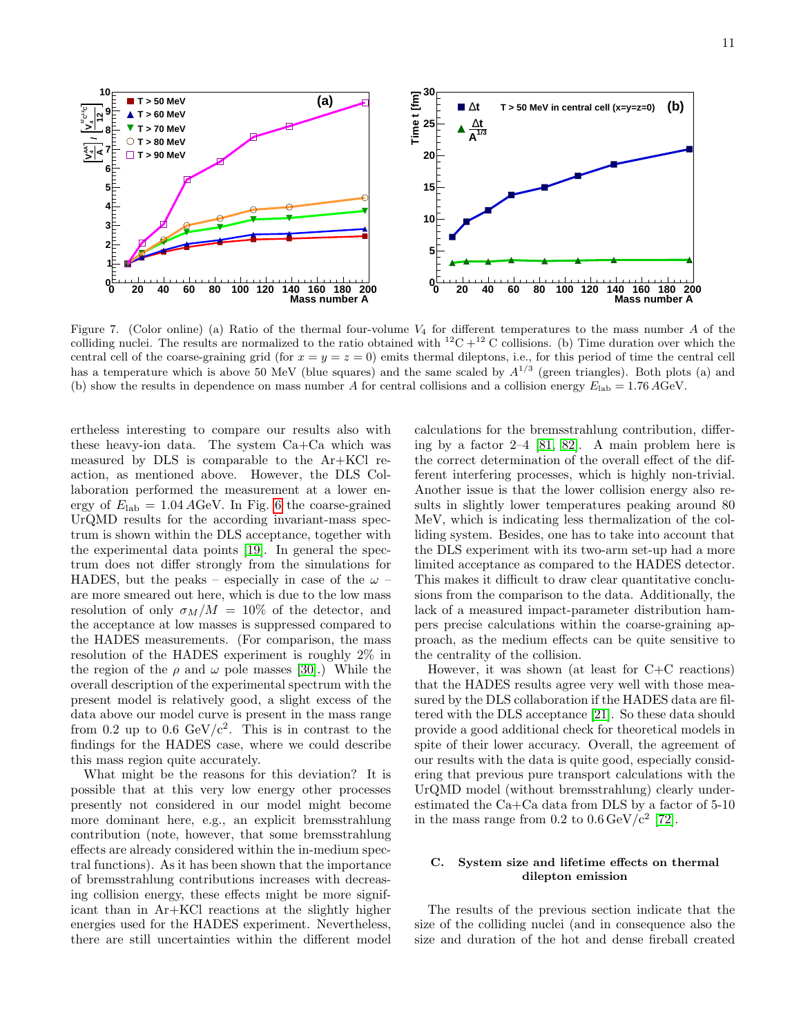

<span id="page-10-1"></span>Figure 7. (Color online) (a) Ratio of the thermal four-volume  $V_4$  for different temperatures to the mass number A of the colliding nuclei. The results are normalized to the ratio obtained with  ${}^{12}C + {}^{12}C$  collisions. (b) Time duration over which the central cell of the coarse-graining grid (for  $x = y = z = 0$ ) emits thermal dileptons, i.e., for this period of time the central cell has a temperature which is above 50 MeV (blue squares) and the same scaled by  $A^{1/3}$  (green triangles). Both plots (a) and (b) show the results in dependence on mass number A for central collisions and a collision energy  $E_{\text{lab}} = 1.76 \text{ AGeV}$ .

ertheless interesting to compare our results also with these heavy-ion data. The system Ca+Ca which was measured by DLS is comparable to the Ar+KCl reaction, as mentioned above. However, the DLS Collaboration performed the measurement at a lower energy of  $E_{\rm lab} = 1.04 \,\text{AGeV}$ . In Fig. [6](#page-9-0) the coarse-grained UrQMD results for the according invariant-mass spectrum is shown within the DLS acceptance, together with the experimental data points [\[19\]](#page-13-12). In general the spectrum does not differ strongly from the simulations for HADES, but the peaks – especially in case of the  $\omega$  – are more smeared out here, which is due to the low mass resolution of only  $\sigma_M/M = 10\%$  of the detector, and the acceptance at low masses is suppressed compared to the HADES measurements. (For comparison, the mass resolution of the HADES experiment is roughly 2% in the region of the  $\rho$  and  $\omega$  pole masses [\[30\]](#page-14-4).) While the overall description of the experimental spectrum with the present model is relatively good, a slight excess of the data above our model curve is present in the mass range from 0.2 up to 0.6  $GeV/c^2$ . This is in contrast to the findings for the HADES case, where we could describe this mass region quite accurately.

What might be the reasons for this deviation? It is possible that at this very low energy other processes presently not considered in our model might become more dominant here, e.g., an explicit bremsstrahlung contribution (note, however, that some bremsstrahlung effects are already considered within the in-medium spectral functions). As it has been shown that the importance of bremsstrahlung contributions increases with decreasing collision energy, these effects might be more significant than in Ar+KCl reactions at the slightly higher energies used for the HADES experiment. Nevertheless, there are still uncertainties within the different model

calculations for the bremsstrahlung contribution, differing by a factor 2–4 [\[81,](#page-14-49) [82\]](#page-14-50). A main problem here is the correct determination of the overall effect of the different interfering processes, which is highly non-trivial. Another issue is that the lower collision energy also results in slightly lower temperatures peaking around 80 MeV, which is indicating less thermalization of the colliding system. Besides, one has to take into account that the DLS experiment with its two-arm set-up had a more limited acceptance as compared to the HADES detector. This makes it difficult to draw clear quantitative conclusions from the comparison to the data. Additionally, the lack of a measured impact-parameter distribution hampers precise calculations within the coarse-graining approach, as the medium effects can be quite sensitive to the centrality of the collision.

However, it was shown (at least for  $C+C$  reactions) that the HADES results agree very well with those measured by the DLS collaboration if the HADES data are filtered with the DLS acceptance [\[21\]](#page-14-51). So these data should provide a good additional check for theoretical models in spite of their lower accuracy. Overall, the agreement of our results with the data is quite good, especially considering that previous pure transport calculations with the UrQMD model (without bremsstrahlung) clearly underestimated the Ca+Ca data from DLS by a factor of 5-10 in the mass range from  $0.2$  to  $0.6 \,\text{GeV}/\text{c}^2$  [\[72\]](#page-14-39).

# <span id="page-10-0"></span>C. System size and lifetime effects on thermal dilepton emission

The results of the previous section indicate that the size of the colliding nuclei (and in consequence also the size and duration of the hot and dense fireball created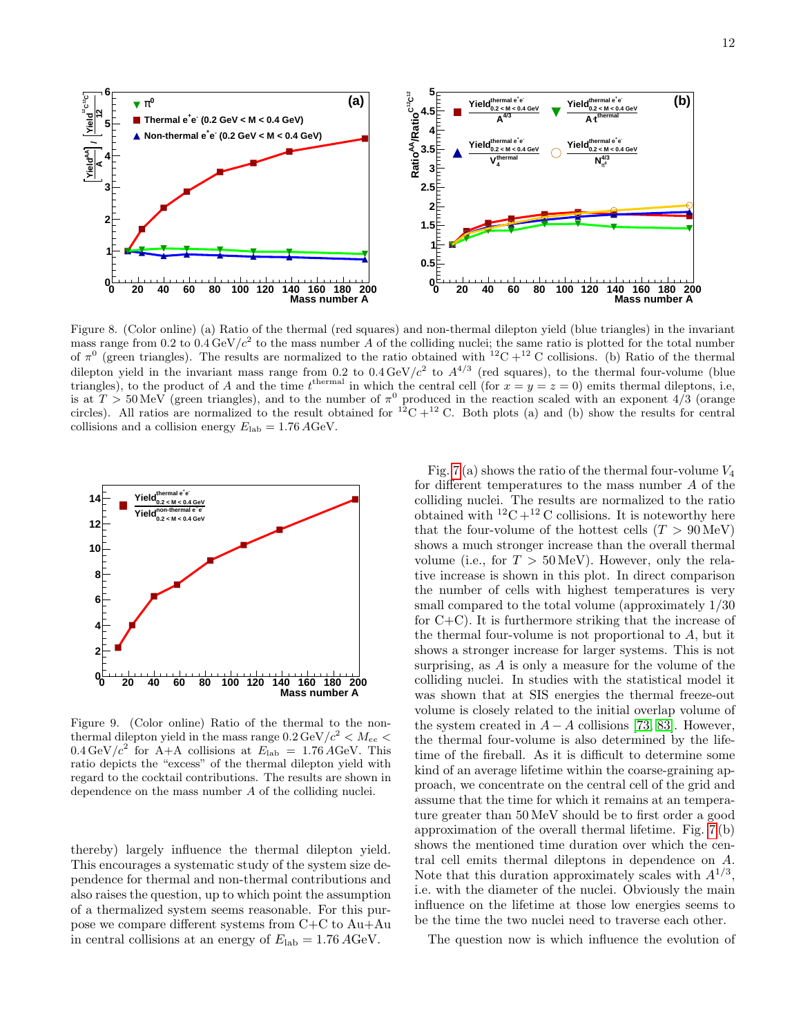

<span id="page-11-0"></span>Figure 8. (Color online) (a) Ratio of the thermal (red squares) and non-thermal dilepton yield (blue triangles) in the invariant mass range from 0.2 to  $0.4 \text{GeV}/c^2$  to the mass number A of the colliding nuclei; the same ratio is plotted for the total number of  $\pi^0$  (green triangles). The results are normalized to the ratio obtained with  ${}^{12}C + {}^{12}C$  collisions. (b) Ratio of the thermal dilepton yield in the invariant mass range from 0.2 to  $0.4 \text{ GeV}/c^2$  to  $A^{4/3}$  (red squares), to the thermal four-volume (blue triangles), to the product of A and the time  $t^{\text{thermal}}$  in which the central cell (for  $x = y = z = 0$ ) emits thermal dileptons, i.e, is at  $T > 50$  MeV (green triangles), and to the number of  $\pi^0$  produced in the reaction scaled with an exponent 4/3 (orange circles). All ratios are normalized to the result obtained for  ${}^{12}C + {}^{12}C$ . Both plots (a) and (b) show the results for central collisions and a collision energy  $E_{\rm lab} = 1.76 \,\text{AGeV}$ .



<span id="page-11-1"></span>Figure 9. (Color online) Ratio of the thermal to the nonthermal dilepton yield in the mass range  $0.2 \,\text{GeV}/c^2 < M_{ee} <$  $0.4 \,\text{GeV}/c^2$  for A+A collisions at  $E_{\text{lab}} = 1.76 \,\text{AGeV}$ . This ratio depicts the "excess" of the thermal dilepton yield with regard to the cocktail contributions. The results are shown in dependence on the mass number A of the colliding nuclei.

thereby) largely influence the thermal dilepton yield. This encourages a systematic study of the system size dependence for thermal and non-thermal contributions and also raises the question, up to which point the assumption of a thermalized system seems reasonable. For this purpose we compare different systems from C+C to Au+Au in central collisions at an energy of  $E_{\rm lab} = 1.76 \,\text{AGeV}$ .

Fig. [7](#page-10-1)(a) shows the ratio of the thermal four-volume  $V_4$ for different temperatures to the mass number A of the colliding nuclei. The results are normalized to the ratio obtained with  ${}^{12}C + {}^{12}C$  collisions. It is noteworthy here that the four-volume of the hottest cells  $(T > 90 \,\text{MeV})$ shows a much stronger increase than the overall thermal volume (i.e., for  $T > 50 \,\text{MeV}$ ). However, only the relative increase is shown in this plot. In direct comparison the number of cells with highest temperatures is very small compared to the total volume (approximately 1/30 for C+C). It is furthermore striking that the increase of the thermal four-volume is not proportional to A, but it shows a stronger increase for larger systems. This is not surprising, as A is only a measure for the volume of the colliding nuclei. In studies with the statistical model it was shown that at SIS energies the thermal freeze-out volume is closely related to the initial overlap volume of the system created in  $A - A$  collisions [\[73,](#page-14-40) [83\]](#page-14-52). However, the thermal four-volume is also determined by the lifetime of the fireball. As it is difficult to determine some kind of an average lifetime within the coarse-graining approach, we concentrate on the central cell of the grid and assume that the time for which it remains at an temperature greater than 50 MeV should be to first order a good approximation of the overall thermal lifetime. Fig. [7](#page-10-1) (b) shows the mentioned time duration over which the central cell emits thermal dileptons in dependence on A. Note that this duration approximately scales with  $A^{1/3}$ , i.e. with the diameter of the nuclei. Obviously the main influence on the lifetime at those low energies seems to be the time the two nuclei need to traverse each other.

The question now is which influence the evolution of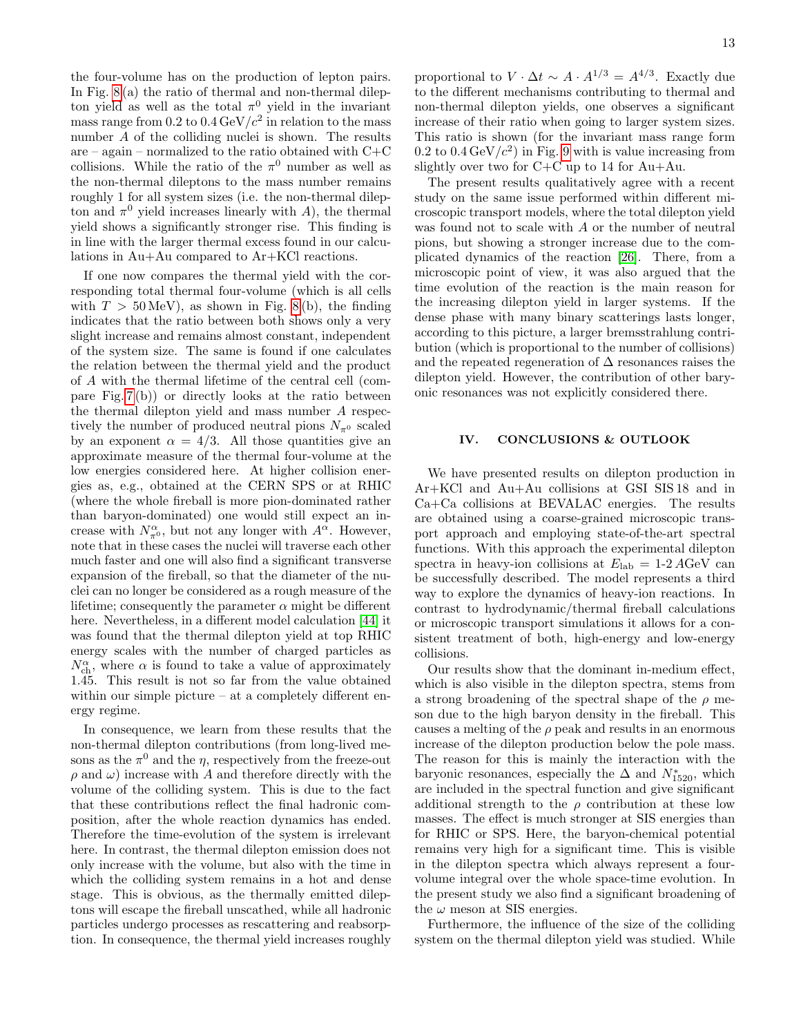the four-volume has on the production of lepton pairs. In Fig. [8](#page-11-0) (a) the ratio of thermal and non-thermal dilepton yield as well as the total  $\pi^0$  yield in the invariant mass range from 0.2 to  $0.4 \,\text{GeV}/c^2$  in relation to the mass number A of the colliding nuclei is shown. The results are – again – normalized to the ratio obtained with  $C+C$ collisions. While the ratio of the  $\pi^0$  number as well as the non-thermal dileptons to the mass number remains roughly 1 for all system sizes (i.e. the non-thermal dilepton and  $\pi^0$  yield increases linearly with A), the thermal yield shows a significantly stronger rise. This finding is in line with the larger thermal excess found in our calculations in Au+Au compared to Ar+KCl reactions.

If one now compares the thermal yield with the corresponding total thermal four-volume (which is all cells with  $T > 50 \,\text{MeV}$ , as shown in Fig. [8](#page-11-0)(b), the finding indicates that the ratio between both shows only a very slight increase and remains almost constant, independent of the system size. The same is found if one calculates the relation between the thermal yield and the product of A with the thermal lifetime of the central cell (compare Fig. [7](#page-10-1) (b)) or directly looks at the ratio between the thermal dilepton yield and mass number A respectively the number of produced neutral pions  $N_{\pi^0}$  scaled by an exponent  $\alpha = 4/3$ . All those quantities give an approximate measure of the thermal four-volume at the low energies considered here. At higher collision energies as, e.g., obtained at the CERN SPS or at RHIC (where the whole fireball is more pion-dominated rather than baryon-dominated) one would still expect an increase with  $N_{\pi^0}^{\alpha}$ , but not any longer with  $A^{\alpha}$ . However, note that in these cases the nuclei will traverse each other much faster and one will also find a significant transverse expansion of the fireball, so that the diameter of the nuclei can no longer be considered as a rough measure of the lifetime; consequently the parameter  $\alpha$  might be different here. Nevertheless, in a different model calculation [\[44\]](#page-14-14) it was found that the thermal dilepton yield at top RHIC energy scales with the number of charged particles as  $N_{\mathrm{ch}}^{\alpha}$ , where  $\alpha$  is found to take a value of approximately 1.45. This result is not so far from the value obtained within our simple picture – at a completely different energy regime.

In consequence, we learn from these results that the non-thermal dilepton contributions (from long-lived mesons as the  $\pi^0$  and the  $\eta$ , respectively from the freeze-out  $\rho$  and  $\omega$ ) increase with A and therefore directly with the volume of the colliding system. This is due to the fact that these contributions reflect the final hadronic composition, after the whole reaction dynamics has ended. Therefore the time-evolution of the system is irrelevant here. In contrast, the thermal dilepton emission does not only increase with the volume, but also with the time in which the colliding system remains in a hot and dense stage. This is obvious, as the thermally emitted dileptons will escape the fireball unscathed, while all hadronic particles undergo processes as rescattering and reabsorption. In consequence, the thermal yield increases roughly

proportional to  $V \cdot \Delta t \sim A \cdot A^{1/3} = A^{4/3}$ . Exactly due to the different mechanisms contributing to thermal and non-thermal dilepton yields, one observes a significant increase of their ratio when going to larger system sizes. This ratio is shown (for the invariant mass range form 0.2 to  $0.4 \,\text{GeV}/c^2$ ) in Fig. [9](#page-11-1) with is value increasing from slightly over two for C+C up to 14 for Au+Au.

The present results qualitatively agree with a recent study on the same issue performed within different microscopic transport models, where the total dilepton yield was found not to scale with A or the number of neutral pions, but showing a stronger increase due to the complicated dynamics of the reaction [\[26\]](#page-14-48). There, from a microscopic point of view, it was also argued that the time evolution of the reaction is the main reason for the increasing dilepton yield in larger systems. If the dense phase with many binary scatterings lasts longer, according to this picture, a larger bremsstrahlung contribution (which is proportional to the number of collisions) and the repeated regeneration of  $\Delta$  resonances raises the dilepton yield. However, the contribution of other baryonic resonances was not explicitly considered there.

# <span id="page-12-0"></span>IV. CONCLUSIONS & OUTLOOK

We have presented results on dilepton production in Ar+KCl and Au+Au collisions at GSI SIS 18 and in Ca+Ca collisions at BEVALAC energies. The results are obtained using a coarse-grained microscopic transport approach and employing state-of-the-art spectral functions. With this approach the experimental dilepton spectra in heavy-ion collisions at  $E_{\text{lab}} = 1.2 A \text{GeV}$  can be successfully described. The model represents a third way to explore the dynamics of heavy-ion reactions. In contrast to hydrodynamic/thermal fireball calculations or microscopic transport simulations it allows for a consistent treatment of both, high-energy and low-energy collisions.

Our results show that the dominant in-medium effect, which is also visible in the dilepton spectra, stems from a strong broadening of the spectral shape of the  $\rho$  meson due to the high baryon density in the fireball. This causes a melting of the  $\rho$  peak and results in an enormous increase of the dilepton production below the pole mass. The reason for this is mainly the interaction with the baryonic resonances, especially the  $\Delta$  and  $N^*_{1520}$ , which are included in the spectral function and give significant additional strength to the  $\rho$  contribution at these low masses. The effect is much stronger at SIS energies than for RHIC or SPS. Here, the baryon-chemical potential remains very high for a significant time. This is visible in the dilepton spectra which always represent a fourvolume integral over the whole space-time evolution. In the present study we also find a significant broadening of the  $\omega$  meson at SIS energies.

Furthermore, the influence of the size of the colliding system on the thermal dilepton yield was studied. While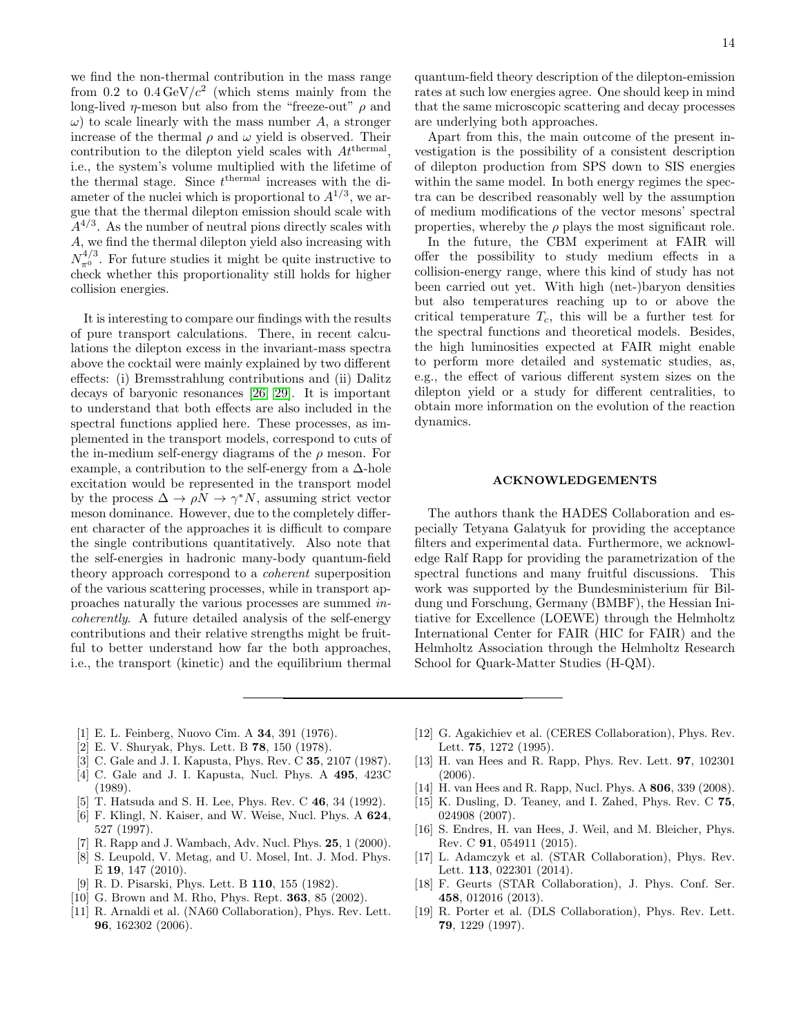we find the non-thermal contribution in the mass range from 0.2 to  $0.4 \,\text{GeV}/c^2$  (which stems mainly from the long-lived *η*-meson but also from the "freeze-out"  $\rho$  and  $\omega$ ) to scale linearly with the mass number A, a stronger increase of the thermal  $\rho$  and  $\omega$  yield is observed. Their contribution to the dilepton yield scales with  $At^{\text{thermal}}$ , i.e., the system's volume multiplied with the lifetime of the thermal stage. Since  $t^{\text{thermal}}$  increases with the diameter of the nuclei which is proportional to  $A^{1/3}$ , we argue that the thermal dilepton emission should scale with  $A^{4/3}$ . As the number of neutral pions directly scales with A, we find the thermal dilepton yield also increasing with  $N_{\pi^0}^{4/3}$ . For future studies it might be quite instructive to check whether this proportionality still holds for higher collision energies.

It is interesting to compare our findings with the results of pure transport calculations. There, in recent calculations the dilepton excess in the invariant-mass spectra above the cocktail were mainly explained by two different effects: (i) Bremsstrahlung contributions and (ii) Dalitz decays of baryonic resonances [\[26,](#page-14-48) [29\]](#page-14-3). It is important to understand that both effects are also included in the spectral functions applied here. These processes, as implemented in the transport models, correspond to cuts of the in-medium self-energy diagrams of the  $\rho$  meson. For example, a contribution to the self-energy from a  $\Delta$ -hole excitation would be represented in the transport model by the process  $\Delta \to \rho N \to \gamma^* N$ , assuming strict vector meson dominance. However, due to the completely different character of the approaches it is difficult to compare the single contributions quantitatively. Also note that the self-energies in hadronic many-body quantum-field theory approach correspond to a coherent superposition of the various scattering processes, while in transport approaches naturally the various processes are summed incoherently. A future detailed analysis of the self-energy contributions and their relative strengths might be fruitful to better understand how far the both approaches, i.e., the transport (kinetic) and the equilibrium thermal

quantum-field theory description of the dilepton-emission rates at such low energies agree. One should keep in mind that the same microscopic scattering and decay processes are underlying both approaches.

Apart from this, the main outcome of the present investigation is the possibility of a consistent description of dilepton production from SPS down to SIS energies within the same model. In both energy regimes the spectra can be described reasonably well by the assumption of medium modifications of the vector mesons' spectral properties, whereby the  $\rho$  plays the most significant role.

In the future, the CBM experiment at FAIR will offer the possibility to study medium effects in a collision-energy range, where this kind of study has not been carried out yet. With high (net-)baryon densities but also temperatures reaching up to or above the critical temperature  $T_c$ , this will be a further test for the spectral functions and theoretical models. Besides, the high luminosities expected at FAIR might enable to perform more detailed and systematic studies, as, e.g., the effect of various different system sizes on the dilepton yield or a study for different centralities, to obtain more information on the evolution of the reaction dynamics.

# ACKNOWLEDGEMENTS

The authors thank the HADES Collaboration and especially Tetyana Galatyuk for providing the acceptance filters and experimental data. Furthermore, we acknowledge Ralf Rapp for providing the parametrization of the spectral functions and many fruitful discussions. This work was supported by the Bundesministerium für Bildung und Forschung, Germany (BMBF), the Hessian Initiative for Excellence (LOEWE) through the Helmholtz International Center for FAIR (HIC for FAIR) and the Helmholtz Association through the Helmholtz Research School for Quark-Matter Studies (H-QM).

- <span id="page-13-0"></span>[1] E. L. Feinberg, Nuovo Cim. A 34, 391 (1976).
- [2] E. V. Shuryak, Phys. Lett. B 78, 150 (1978).
- [3] C. Gale and J. I. Kapusta, Phys. Rev. C 35, 2107 (1987).
- <span id="page-13-1"></span>[4] C. Gale and J. I. Kapusta, Nucl. Phys. A 495, 423C (1989).
- <span id="page-13-2"></span>[5] T. Hatsuda and S. H. Lee, Phys. Rev. C 46, 34 (1992).
- [6] F. Klingl, N. Kaiser, and W. Weise, Nucl. Phys. A 624, 527 (1997).
- <span id="page-13-14"></span>[7] R. Rapp and J. Wambach, Adv. Nucl. Phys. **25**, 1 (2000).
- <span id="page-13-3"></span>[8] S. Leupold, V. Metag, and U. Mosel, Int. J. Mod. Phys. E 19, 147 (2010).
- <span id="page-13-4"></span>[9] R. D. Pisarski, Phys. Lett. B 110, 155 (1982).
- <span id="page-13-5"></span>[10] G. Brown and M. Rho, Phys. Rept. **363**, 85 (2002).
- <span id="page-13-6"></span>[11] R. Arnaldi et al. (NA60 Collaboration), Phys. Rev. Lett. 96, 162302 (2006).
- <span id="page-13-7"></span>[12] G. Agakichiev et al. (CERES Collaboration), Phys. Rev. Lett. 75, 1272 (1995).
- <span id="page-13-8"></span>[13] H. van Hees and R. Rapp, Phys. Rev. Lett. 97, 102301 (2006).
- <span id="page-13-15"></span>[14] H. van Hees and R. Rapp, Nucl. Phys. A 806, 339 (2008).
- <span id="page-13-13"></span>[15] K. Dusling, D. Teaney, and I. Zahed, Phys. Rev. C 75, 024908 (2007).
- <span id="page-13-9"></span>[16] S. Endres, H. van Hees, J. Weil, and M. Bleicher, Phys. Rev. C 91, 054911 (2015).
- <span id="page-13-10"></span>[17] L. Adamczyk et al. (STAR Collaboration), Phys. Rev. Lett. 113, 022301 (2014).
- <span id="page-13-11"></span>[18] F. Geurts (STAR Collaboration), J. Phys. Conf. Ser. 458, 012016 (2013).
- <span id="page-13-12"></span>[19] R. Porter et al. (DLS Collaboration), Phys. Rev. Lett. 79, 1229 (1997).